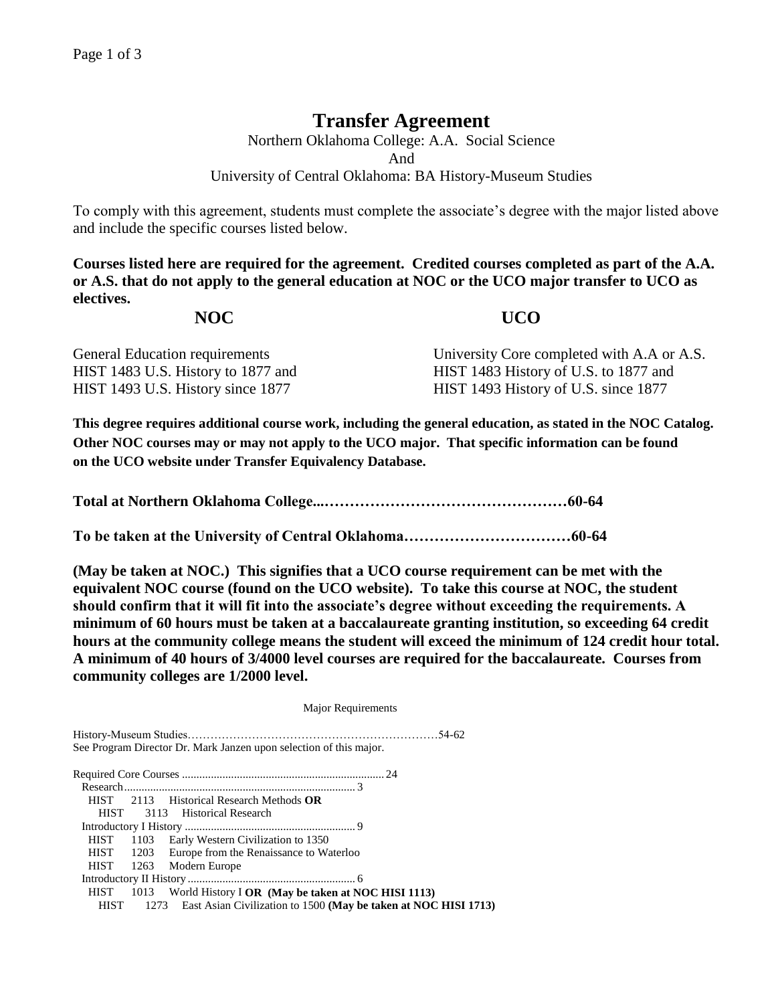## **Transfer Agreement**

Northern Oklahoma College: A.A. Social Science And University of Central Oklahoma: BA History-Museum Studies

To comply with this agreement, students must complete the associate's degree with the major listed above and include the specific courses listed below.

**Courses listed here are required for the agreement. Credited courses completed as part of the A.A. or A.S. that do not apply to the general education at NOC or the UCO major transfer to UCO as electives.**

## **NOC UCO**

| General Education requirements     | University Core completed with A.A or A.S. |
|------------------------------------|--------------------------------------------|
| HIST 1483 U.S. History to 1877 and | HIST 1483 History of U.S. to 1877 and      |
| HIST 1493 U.S. History since 1877  | HIST 1493 History of U.S. since 1877       |

**This degree requires additional course work, including the general education, as stated in the NOC Catalog. Other NOC courses may or may not apply to the UCO major. That specific information can be found on the UCO website under Transfer Equivalency Database.**

**Total at Northern Oklahoma College...…………………………………………60-64**

**To be taken at the University of Central Oklahoma……………………………60-64**

**(May be taken at NOC.) This signifies that a UCO course requirement can be met with the equivalent NOC course (found on the UCO website). To take this course at NOC, the student should confirm that it will fit into the associate's degree without exceeding the requirements. A minimum of 60 hours must be taken at a baccalaureate granting institution, so exceeding 64 credit hours at the community college means the student will exceed the minimum of 124 credit hour total. A minimum of 40 hours of 3/4000 level courses are required for the baccalaureate. Courses from community colleges are 1/2000 level.**

|             | <b>Major Requirements</b>                                            |  |  |
|-------------|----------------------------------------------------------------------|--|--|
|             |                                                                      |  |  |
|             | See Program Director Dr. Mark Janzen upon selection of this major.   |  |  |
|             |                                                                      |  |  |
|             |                                                                      |  |  |
|             | HIST 2113 Historical Research Methods OR                             |  |  |
|             | HIST 3113 Historical Research                                        |  |  |
|             |                                                                      |  |  |
|             | HIST 1103 Early Western Civilization to 1350                         |  |  |
|             | HIST 1203 Europe from the Renaissance to Waterloo                    |  |  |
|             | HIST 1263 Modern Europe                                              |  |  |
|             |                                                                      |  |  |
|             | HIST 1013 World History I OR (May be taken at NOC HISI 1113)         |  |  |
| <b>HIST</b> | 1273 East Asian Civilization to 1500 (May be taken at NOC HISI 1713) |  |  |
|             |                                                                      |  |  |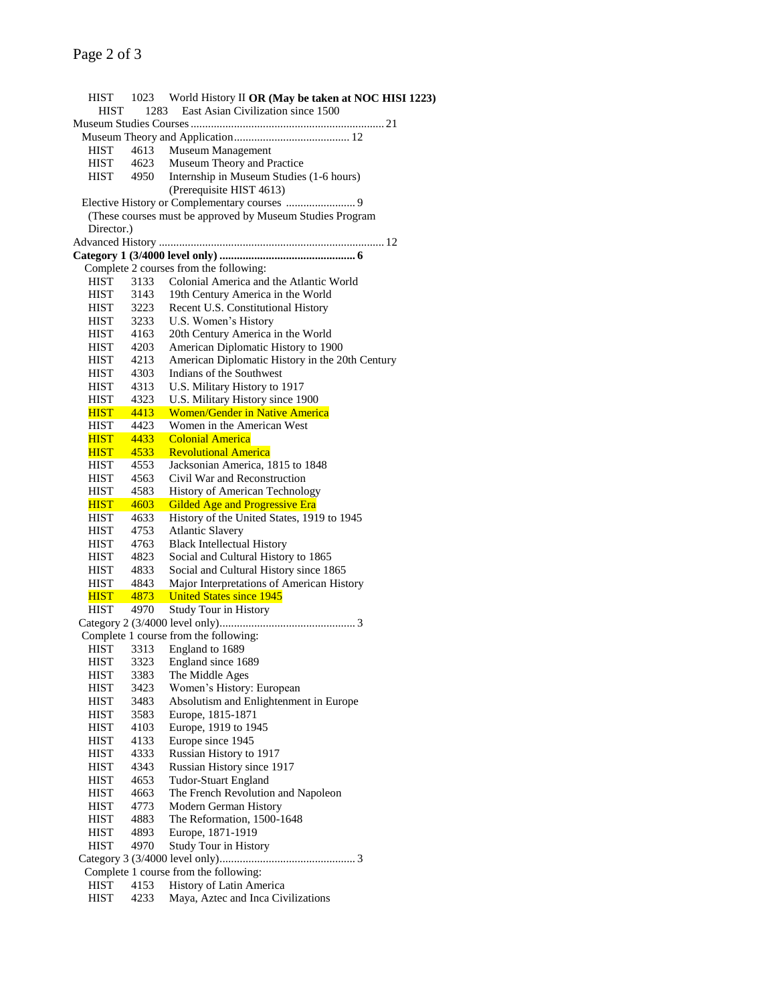HIST 1023 World History II **OR (May be taken at NOC HISI 1223)** HIST 1283 East Asian Civilization since 1500 Museum Studies Courses................................................................... 21 Museum Theory and Application........................................ 12 HIST 4613 Museum Management HIST 4623 Museum Theory and Practice HIST 4950 Internship in Museum Studies (1-6 hours) (Prerequisite HIST 4613) Elective History or Complementary courses ........................ 9 (These courses must be approved by Museum Studies Program Director.) Advanced History .............................................................................. 12 **Category 1 (3/4000 level only) ............................................... 6** Complete 2 courses from the following: HIST 3133 Colonial America and the Atlantic World HIST 3143 19th Century America in the World HIST 3223 Recent U.S. Constitutional History HIST 3233 U.S. Women's History HIST 4163 20th Century America in the World HIST 4203 American Diplomatic History to 1900 HIST 4213 American Diplomatic History in the 20th Century HIST 4303 Indians of the Southwest HIST 4313 U.S. Military History to 1917 HIST 4323 U.S. Military History since 1900 HIST 4413 Women/Gender in Native America HIST 4423 Women in the American West HIST 4433 Colonial America HIST 4533 Revolutional America HIST 4553 Jacksonian America, 1815 to 1848 HIST 4563 Civil War and Reconstruction HIST 4583 History of American Technology HIST 4603 Gilded Age and Progressive Era HIST 4633 History of the United States, 1919 to 1945 HIST 4753 Atlantic Slavery HIST 4763 Black Intellectual History HIST 4823 Social and Cultural History to 1865 HIST 4833 Social and Cultural History since 1865 HIST 4843 Major Interpretations of American History HIST 4873 United States since 1945 HIST 4970 Study Tour in History Category 2 (3/4000 level only)............................................... 3 Complete 1 course from the following: HIST 3313 England to 1689 HIST 3323 England since 1689 HIST 3383 The Middle Ages HIST 3423 Women's History: European HIST 3483 Absolutism and Enlightenment in Europe HIST 3583 Europe, 1815-1871 HIST 4103 Europe, 1919 to 1945 HIST 4133 Europe since 1945 HIST 4333 Russian History to 1917 HIST 4343 Russian History since 1917 HIST 4653 Tudor-Stuart England HIST 4663 The French Revolution and Napoleon HIST 4773 Modern German History HIST 4883 The Reformation, 1500-1648 HIST 4893 Europe, 1871-1919 HIST 4970 Study Tour in History Category 3 (3/4000 level only)............................................... 3 Complete 1 course from the following: HIST 4153 History of Latin America HIST 4233 Maya, Aztec and Inca Civilizations